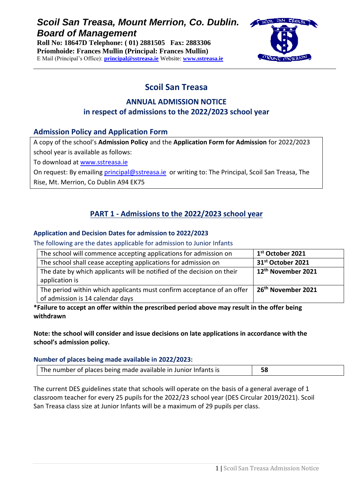# *Scoil San Treasa, Mount Merrion, Co. Dublin. Board of Management*

**Roll No: 18647D Telephone: ( 01) 2881505 Fax: 2883306 Príomhoide: Frances Mullin (Principal: Frances Mullin)** E Mail (Principal's Office): **[principal@sstreasa.ie](mailto:principal@sstreasa.ie)** Website: **[www.sstreasa.ie](http://www.sstreasa.ie/)**



# **Scoil San Treasa**

## **ANNUAL ADMISSION NOTICE in respect of admissions to the 2022/2023 school year**

### **Admission Policy and Application Form**

A copy of the school's **Admission Policy** and the **Application Form for Admission** for 2022/2023 school year is available as follows:

To download at [www.sstreasa.ie](http://www.sstreasa.ie/)

On request: By emailing [principal@sstreasa.ie](mailto:principal@sstreasa.ie) or writing to: The Principal, Scoil San Treasa, The

Rise, Mt. Merrion, Co Dublin A94 EK75

## **PART 1 - Admissions to the 2022/2023 school year**

#### **Application and Decision Dates for admission to 2022/2023**

The following are the dates applicable for admission to Junior Infants

| The school will commence accepting applications for admission on                                           | 1 <sup>st</sup> October 2021   |
|------------------------------------------------------------------------------------------------------------|--------------------------------|
| The school shall cease accepting applications for admission on                                             | 31 <sup>st</sup> October 2021  |
| The date by which applicants will be notified of the decision on their<br>application is                   | 12 <sup>th</sup> November 2021 |
| The period within which applicants must confirm acceptance of an offer<br>of admission is 14 calendar days | 26 <sup>th</sup> November 2021 |

**\*Failure to accept an offer within the prescribed period above may result in the offer being withdrawn**

**Note: the school will consider and issue decisions on late applications in accordance with the school's admission policy.**

#### **Number of places being made available in 2022/2023:**

| The number of places being made available in Junior Infants is |  |
|----------------------------------------------------------------|--|
|----------------------------------------------------------------|--|

The current DES guidelines state that schools will operate on the basis of a general average of 1 classroom teacher for every 25 pupils for the 2022/23 school year (DES Circular 2019/2021). Scoil San Treasa class size at Junior Infants will be a maximum of 29 pupils per class.